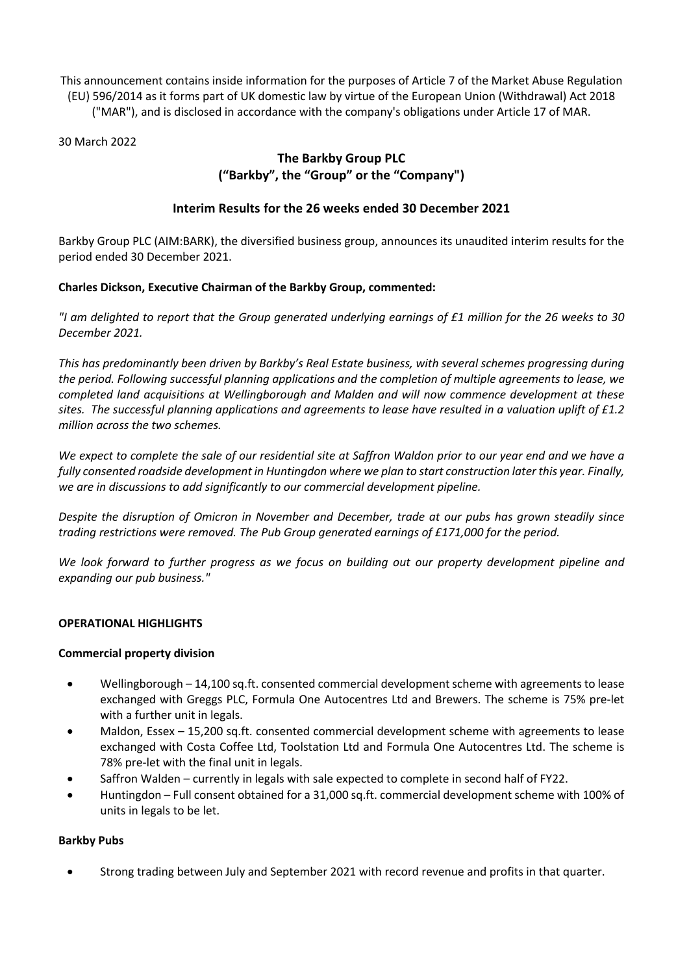This announcement contains inside information for the purposes of Article 7 of the Market Abuse Regulation (EU) 596/2014 as it forms part of UK domestic law by virtue of the European Union (Withdrawal) Act 2018 ("MAR"), and is disclosed in accordance with the company's obligations under Article 17 of MAR.

30 March 2022

# **The Barkby Group PLC ("Barkby", the "Group" or the "Company")**

# **Interim Results for the 26 weeks ended 30 December 2021**

Barkby Group PLC (AIM:BARK), the diversified business group, announces its unaudited interim results for the period ended 30 December 2021.

# **Charles Dickson, Executive Chairman of the Barkby Group, commented:**

*"I am delighted to report that the Group generated underlying earnings of £1 million for the 26 weeks to 30 December 2021.*

*This has predominantly been driven by Barkby's Real Estate business, with several schemes progressing during the period. Following successful planning applications and the completion of multiple agreements to lease, we completed land acquisitions at Wellingborough and Malden and will now commence development at these sites. The successful planning applications and agreements to lease have resulted in a valuation uplift of £1.2 million across the two schemes.*

*We expect to complete the sale of our residential site at Saffron Waldon prior to our year end and we have a fully consented roadside development in Huntingdon where we plan to start construction later this year. Finally, we are in discussions to add significantly to our commercial development pipeline.* 

*Despite the disruption of Omicron in November and December, trade at our pubs has grown steadily since trading restrictions were removed. The Pub Group generated earnings of £171,000 for the period.*

*We look forward to further progress as we focus on building out our property development pipeline and expanding our pub business."*

# **OPERATIONAL HIGHLIGHTS**

# **Commercial property division**

- Wellingborough 14,100 sq.ft. consented commercial development scheme with agreements to lease exchanged with Greggs PLC, Formula One Autocentres Ltd and Brewers. The scheme is 75% pre-let with a further unit in legals.
- Maldon, Essex 15,200 sq.ft. consented commercial development scheme with agreements to lease exchanged with Costa Coffee Ltd, Toolstation Ltd and Formula One Autocentres Ltd. The scheme is 78% pre-let with the final unit in legals.
- Saffron Walden currently in legals with sale expected to complete in second half of FY22.
- Huntingdon Full consent obtained for a 31,000 sq.ft. commercial development scheme with 100% of units in legals to be let.

# **Barkby Pubs**

• Strong trading between July and September 2021 with record revenue and profits in that quarter.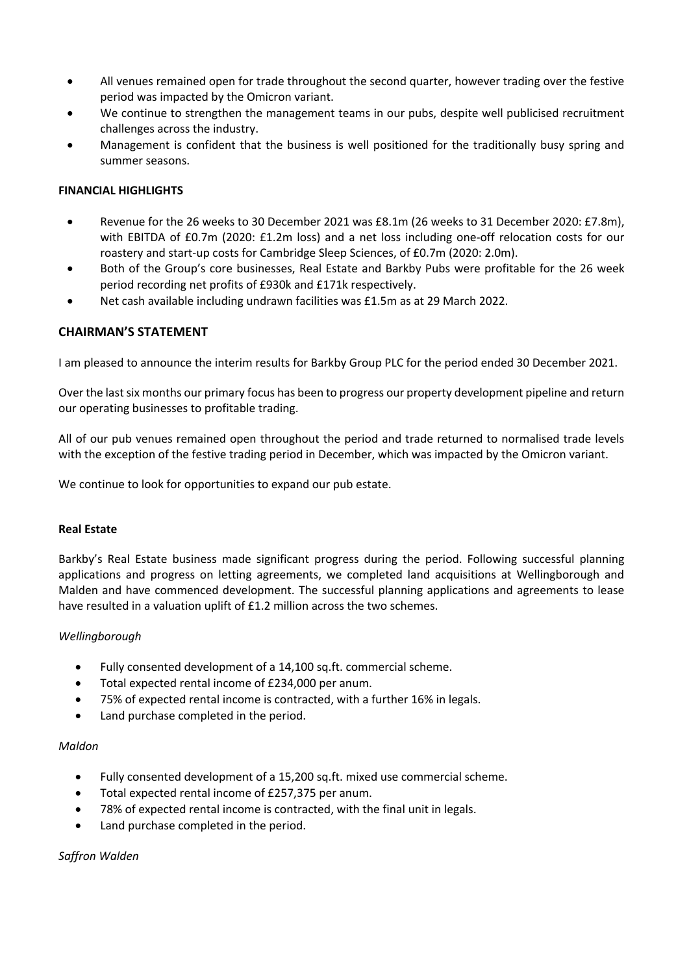- All venues remained open for trade throughout the second quarter, however trading over the festive period was impacted by the Omicron variant.
- We continue to strengthen the management teams in our pubs, despite well publicised recruitment challenges across the industry.
- Management is confident that the business is well positioned for the traditionally busy spring and summer seasons.

### **FINANCIAL HIGHLIGHTS**

- Revenue for the 26 weeks to 30 December 2021 was £8.1m (26 weeks to 31 December 2020: £7.8m), with EBITDA of £0.7m (2020: £1.2m loss) and a net loss including one-off relocation costs for our roastery and start-up costs for Cambridge Sleep Sciences, of £0.7m (2020: 2.0m).
- Both of the Group's core businesses, Real Estate and Barkby Pubs were profitable for the 26 week period recording net profits of £930k and £171k respectively.
- Net cash available including undrawn facilities was £1.5m as at 29 March 2022.

### **CHAIRMAN'S STATEMENT**

I am pleased to announce the interim results for Barkby Group PLC for the period ended 30 December 2021.

Over the last six months our primary focus has been to progress our property development pipeline and return our operating businesses to profitable trading.

All of our pub venues remained open throughout the period and trade returned to normalised trade levels with the exception of the festive trading period in December, which was impacted by the Omicron variant.

We continue to look for opportunities to expand our pub estate.

### **Real Estate**

Barkby's Real Estate business made significant progress during the period. Following successful planning applications and progress on letting agreements, we completed land acquisitions at Wellingborough and Malden and have commenced development. The successful planning applications and agreements to lease have resulted in a valuation uplift of £1.2 million across the two schemes.

### *Wellingborough*

- Fully consented development of a 14,100 sq.ft. commercial scheme.
- Total expected rental income of £234,000 per anum.
- 75% of expected rental income is contracted, with a further 16% in legals.
- Land purchase completed in the period.

#### *Maldon*

- Fully consented development of a 15,200 sq.ft. mixed use commercial scheme.
- Total expected rental income of £257,375 per anum.
- 78% of expected rental income is contracted, with the final unit in legals.
- Land purchase completed in the period.

### *Saffron Walden*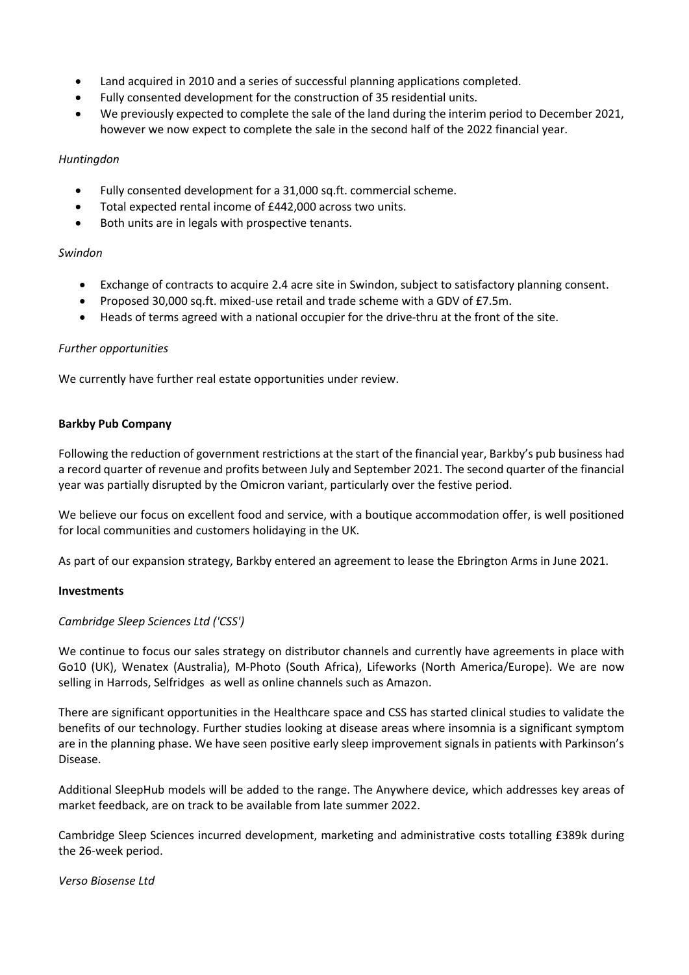- Land acquired in 2010 and a series of successful planning applications completed.
- Fully consented development for the construction of 35 residential units.
- We previously expected to complete the sale of the land during the interim period to December 2021, however we now expect to complete the sale in the second half of the 2022 financial year.

### *Huntingdon*

- Fully consented development for a 31,000 sq.ft. commercial scheme.
- Total expected rental income of £442,000 across two units.
- Both units are in legals with prospective tenants.

### *Swindon*

- Exchange of contracts to acquire 2.4 acre site in Swindon, subject to satisfactory planning consent.
- Proposed 30,000 sq.ft. mixed-use retail and trade scheme with a GDV of £7.5m.
- Heads of terms agreed with a national occupier for the drive-thru at the front of the site.

### *Further opportunities*

We currently have further real estate opportunities under review.

### **Barkby Pub Company**

Following the reduction of government restrictions at the start of the financial year, Barkby's pub business had a record quarter of revenue and profits between July and September 2021. The second quarter of the financial year was partially disrupted by the Omicron variant, particularly over the festive period.

We believe our focus on excellent food and service, with a boutique accommodation offer, is well positioned for local communities and customers holidaying in the UK.

As part of our expansion strategy, Barkby entered an agreement to lease the Ebrington Arms in June 2021.

#### **Investments**

### *Cambridge Sleep Sciences Ltd ('CSS')*

We continue to focus our sales strategy on distributor channels and currently have agreements in place with Go10 (UK), Wenatex (Australia), M-Photo (South Africa), Lifeworks (North America/Europe). We are now selling in Harrods, Selfridges as well as online channels such as Amazon.

There are significant opportunities in the Healthcare space and CSS has started clinical studies to validate the benefits of our technology. Further studies looking at disease areas where insomnia is a significant symptom are in the planning phase. We have seen positive early sleep improvement signals in patients with Parkinson's Disease.

Additional SleepHub models will be added to the range. The Anywhere device, which addresses key areas of market feedback, are on track to be available from late summer 2022.

Cambridge Sleep Sciences incurred development, marketing and administrative costs totalling £389k during the 26-week period.

### *Verso Biosense Ltd*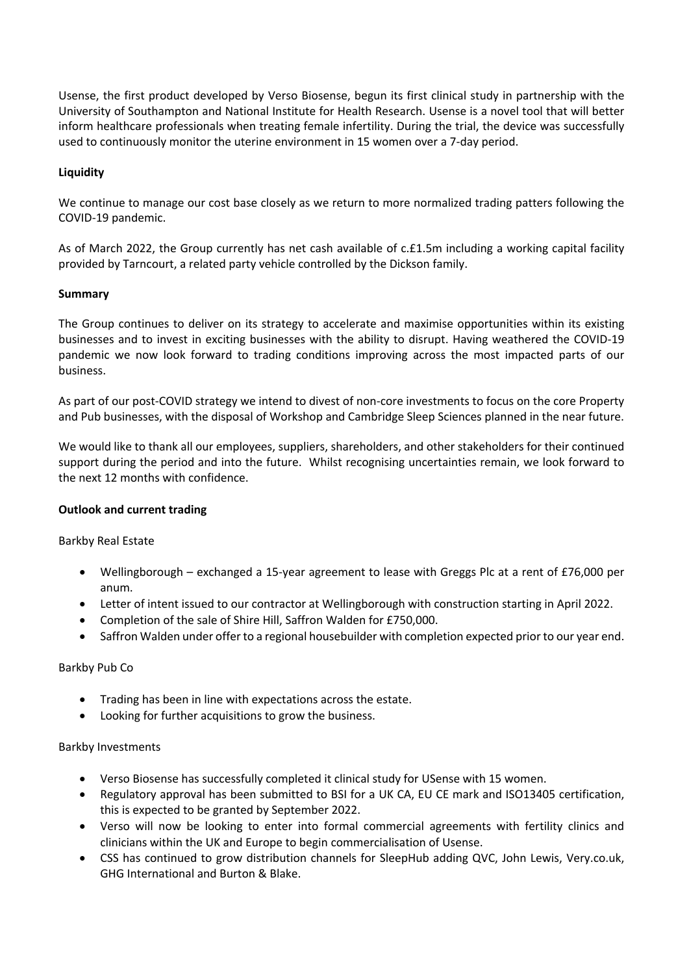Usense, the first product developed by Verso Biosense, begun its first clinical study in partnership with the University of Southampton and National Institute for Health Research. Usense is a novel tool that will better inform healthcare professionals when treating female infertility. During the trial, the device was successfully used to continuously monitor the uterine environment in 15 women over a 7-day period.

## **Liquidity**

We continue to manage our cost base closely as we return to more normalized trading patters following the COVID-19 pandemic.

As of March 2022, the Group currently has net cash available of c.£1.5m including a working capital facility provided by Tarncourt, a related party vehicle controlled by the Dickson family.

## **Summary**

The Group continues to deliver on its strategy to accelerate and maximise opportunities within its existing businesses and to invest in exciting businesses with the ability to disrupt. Having weathered the COVID-19 pandemic we now look forward to trading conditions improving across the most impacted parts of our business.

As part of our post-COVID strategy we intend to divest of non-core investments to focus on the core Property and Pub businesses, with the disposal of Workshop and Cambridge Sleep Sciences planned in the near future.

We would like to thank all our employees, suppliers, shareholders, and other stakeholders for their continued support during the period and into the future. Whilst recognising uncertainties remain, we look forward to the next 12 months with confidence.

### **Outlook and current trading**

Barkby Real Estate

- Wellingborough exchanged a 15-year agreement to lease with Greggs Plc at a rent of £76,000 per anum.
- Letter of intent issued to our contractor at Wellingborough with construction starting in April 2022.
- Completion of the sale of Shire Hill, Saffron Walden for £750,000.
- Saffron Walden under offer to a regional housebuilder with completion expected prior to our year end.

### Barkby Pub Co

- Trading has been in line with expectations across the estate.
- Looking for further acquisitions to grow the business.

### Barkby Investments

- Verso Biosense has successfully completed it clinical study for USense with 15 women.
- Regulatory approval has been submitted to BSI for a UK CA, EU CE mark and ISO13405 certification, this is expected to be granted by September 2022.
- Verso will now be looking to enter into formal commercial agreements with fertility clinics and clinicians within the UK and Europe to begin commercialisation of Usense.
- CSS has continued to grow distribution channels for SleepHub adding QVC, John Lewis, Very.co.uk, GHG International and Burton & Blake.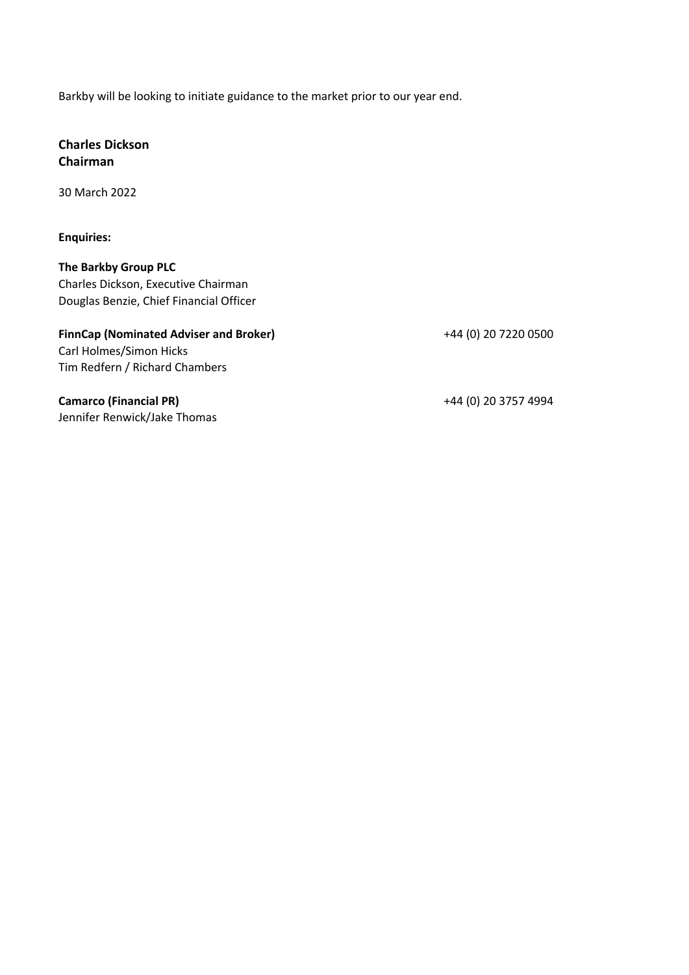Barkby will be looking to initiate guidance to the market prior to our year end.

# **Charles Dickson Chairman**

30 March 2022

**Enquiries:**

**The Barkby Group PLC** Charles Dickson, Executive Chairman Douglas Benzie, Chief Financial Officer

# **FinnCap (Nominated Adviser and Broker)** +44 (0) 20 7220 0500

Carl Holmes/Simon Hicks Tim Redfern / Richard Chambers

**Camarco (Financial PR)** +44 (0) 20 3757 4994 Jennifer Renwick/Jake Thomas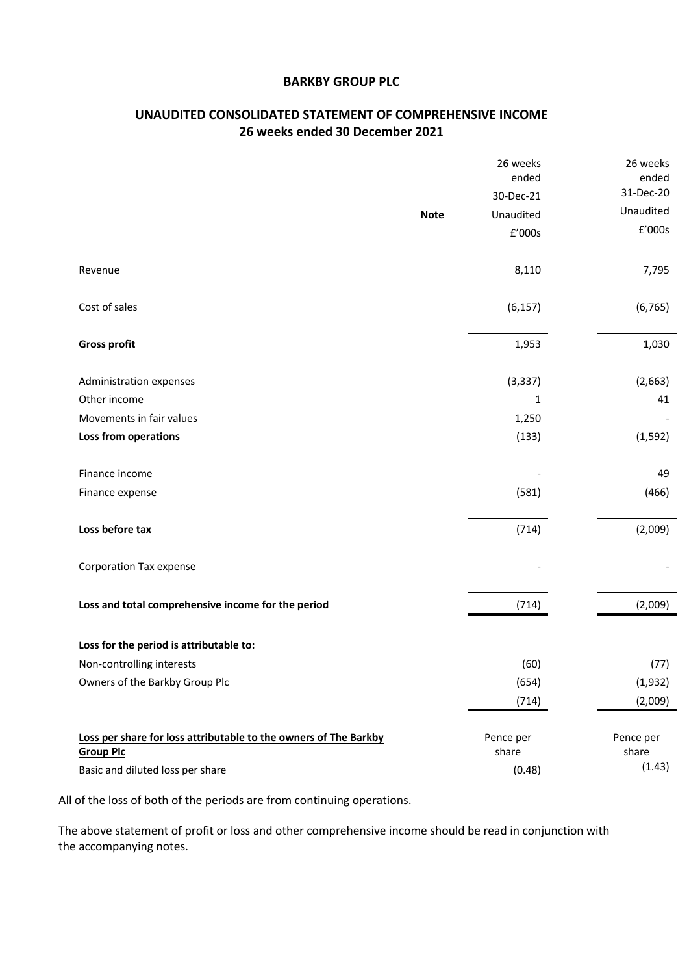## **BARKBY GROUP PLC**

# **UNAUDITED CONSOLIDATED STATEMENT OF COMPREHENSIVE INCOME 26 weeks ended 30 December 2021**

|                                                                  |             | 26 weeks  | 26 weeks           |
|------------------------------------------------------------------|-------------|-----------|--------------------|
|                                                                  |             | ended     | ended<br>31-Dec-20 |
|                                                                  |             | 30-Dec-21 | Unaudited          |
|                                                                  | <b>Note</b> | Unaudited | £'000s             |
|                                                                  |             | £'000s    |                    |
| Revenue                                                          |             | 8,110     | 7,795              |
| Cost of sales                                                    |             | (6, 157)  | (6, 765)           |
| <b>Gross profit</b>                                              |             | 1,953     | 1,030              |
| Administration expenses                                          |             | (3, 337)  | (2,663)            |
| Other income                                                     |             | 1         | 41                 |
| Movements in fair values                                         |             | 1,250     |                    |
| Loss from operations                                             |             | (133)     | (1, 592)           |
| Finance income                                                   |             |           | 49                 |
| Finance expense                                                  |             | (581)     | (466)              |
| Loss before tax                                                  |             | (714)     | (2,009)            |
| <b>Corporation Tax expense</b>                                   |             |           |                    |
| Loss and total comprehensive income for the period               |             | (714)     | (2,009)            |
| Loss for the period is attributable to:                          |             |           |                    |
| Non-controlling interests                                        |             | (60)      | (77)               |
| Owners of the Barkby Group Plc                                   |             | (654)     | (1,932)            |
|                                                                  |             | (714)     | (2,009)            |
| Loss per share for loss attributable to the owners of The Barkby |             | Pence per | Pence per          |
| <b>Group Plc</b>                                                 |             | share     | share              |
| Basic and diluted loss per share                                 |             | (0.48)    | (1.43)             |

All of the loss of both of the periods are from continuing operations.

The above statement of profit or loss and other comprehensive income should be read in conjunction with the accompanying notes.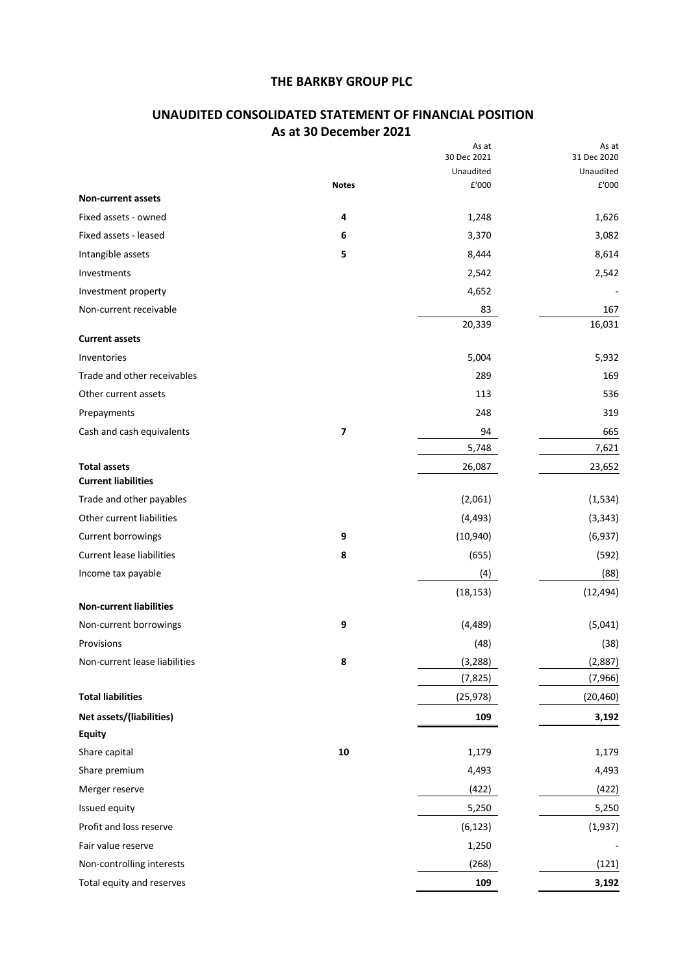# **UNAUDITED CONSOLIDATED STATEMENT OF FINANCIAL POSITION As at 30 December 2021**

|                                                   |              | As at<br>30 Dec 2021 | As at<br>31 Dec 2020 |
|---------------------------------------------------|--------------|----------------------|----------------------|
|                                                   |              | Unaudited            | Unaudited            |
|                                                   | <b>Notes</b> | £'000                | £'000                |
| <b>Non-current assets</b>                         |              |                      |                      |
| Fixed assets - owned                              | 4            | 1,248                | 1,626                |
| Fixed assets - leased                             | 6            | 3,370                | 3,082                |
| Intangible assets                                 | 5            | 8,444                | 8,614                |
| Investments                                       |              | 2,542                | 2,542                |
| Investment property                               |              | 4,652                |                      |
| Non-current receivable                            |              | 83                   | 167                  |
| <b>Current assets</b>                             |              | 20,339               | 16,031               |
| Inventories                                       |              | 5,004                | 5,932                |
| Trade and other receivables                       |              | 289                  | 169                  |
| Other current assets                              |              | 113                  | 536                  |
| Prepayments                                       |              | 248                  | 319                  |
| Cash and cash equivalents                         | 7            | 94                   | 665                  |
|                                                   |              | 5,748                | 7,621                |
| <b>Total assets</b><br><b>Current liabilities</b> |              | 26,087               | 23,652               |
| Trade and other payables                          |              | (2,061)              | (1, 534)             |
| Other current liabilities                         |              | (4, 493)             | (3, 343)             |
| Current borrowings                                | 9            | (10, 940)            | (6,937)              |
| <b>Current lease liabilities</b>                  | 8            | (655)                | (592)                |
| Income tax payable                                |              | (4)                  | (88)                 |
|                                                   |              | (18, 153)            | (12, 494)            |
| <b>Non-current liabilities</b>                    |              |                      |                      |
| Non-current borrowings                            | 9            | (4, 489)             | (5,041)              |
| Provisions                                        |              | (48)                 | (38)                 |
| Non-current lease liabilities                     | 8            | (3, 288)             | (2,887)              |
|                                                   |              | (7, 825)             | (7,966)              |
| <b>Total liabilities</b>                          |              | (25, 978)            | (20, 460)            |
| Net assets/(liabilities)                          |              | 109                  | 3,192                |
| <b>Equity</b>                                     |              |                      |                      |
| Share capital                                     | ${\bf 10}$   | 1,179                | 1,179                |
| Share premium                                     |              | 4,493                | 4,493                |
| Merger reserve                                    |              | (422)                | (422)                |
| Issued equity                                     |              | 5,250                | 5,250                |
| Profit and loss reserve                           |              | (6, 123)             | (1,937)              |
| Fair value reserve                                |              | 1,250                |                      |
| Non-controlling interests                         |              | (268)                | (121)                |
| Total equity and reserves                         |              | 109                  | 3,192                |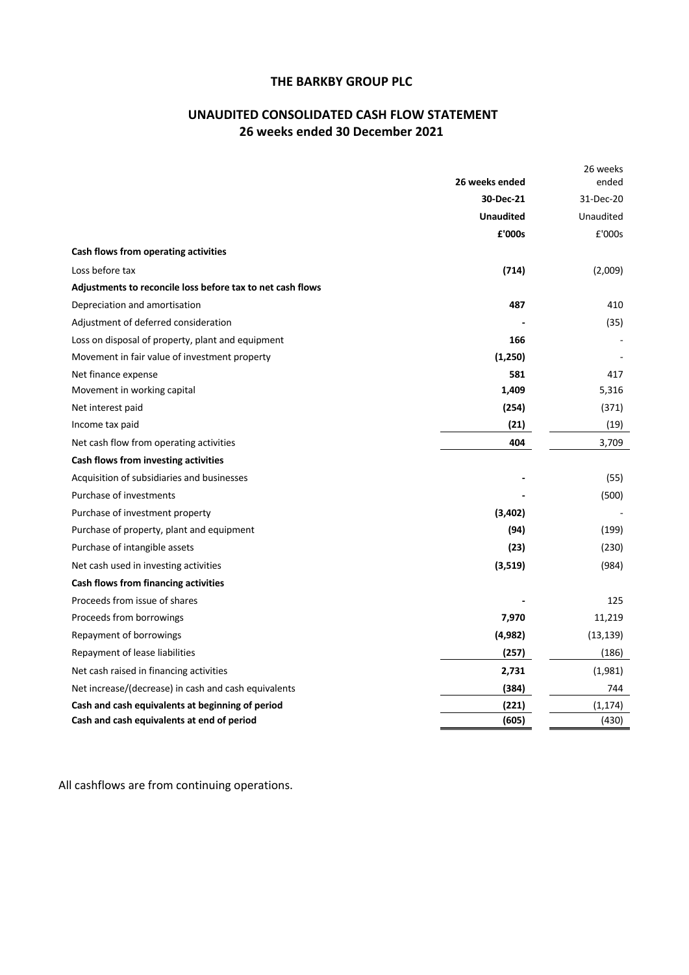# **UNAUDITED CONSOLIDATED CASH FLOW STATEMENT 26 weeks ended 30 December 2021**

|                                                            | 26 weeks ended   | 26 weeks<br>ended |
|------------------------------------------------------------|------------------|-------------------|
|                                                            | 30-Dec-21        | 31-Dec-20         |
|                                                            | <b>Unaudited</b> | Unaudited         |
|                                                            | £'000s           | £'000s            |
| Cash flows from operating activities                       |                  |                   |
| Loss before tax                                            | (714)            | (2,009)           |
| Adjustments to reconcile loss before tax to net cash flows |                  |                   |
| Depreciation and amortisation                              | 487              | 410               |
| Adjustment of deferred consideration                       |                  | (35)              |
| Loss on disposal of property, plant and equipment          | 166              |                   |
| Movement in fair value of investment property              | (1,250)          |                   |
| Net finance expense                                        | 581              | 417               |
| Movement in working capital                                | 1,409            | 5,316             |
| Net interest paid                                          | (254)            | (371)             |
| Income tax paid                                            | (21)             | (19)              |
| Net cash flow from operating activities                    | 404              | 3,709             |
| Cash flows from investing activities                       |                  |                   |
| Acquisition of subsidiaries and businesses                 |                  | (55)              |
| Purchase of investments                                    |                  | (500)             |
| Purchase of investment property                            | (3,402)          |                   |
| Purchase of property, plant and equipment                  | (94)             | (199)             |
| Purchase of intangible assets                              | (23)             | (230)             |
| Net cash used in investing activities                      | (3,519)          | (984)             |
| Cash flows from financing activities                       |                  |                   |
| Proceeds from issue of shares                              |                  | 125               |
| Proceeds from borrowings                                   | 7,970            | 11,219            |
| Repayment of borrowings                                    | (4,982)          | (13, 139)         |
| Repayment of lease liabilities                             | (257)            | (186)             |
| Net cash raised in financing activities                    | 2,731            | (1,981)           |
| Net increase/(decrease) in cash and cash equivalents       | (384)            | 744               |
| Cash and cash equivalents at beginning of period           | (221)            | (1, 174)          |
| Cash and cash equivalents at end of period                 | (605)            | (430)             |

All cashflows are from continuing operations.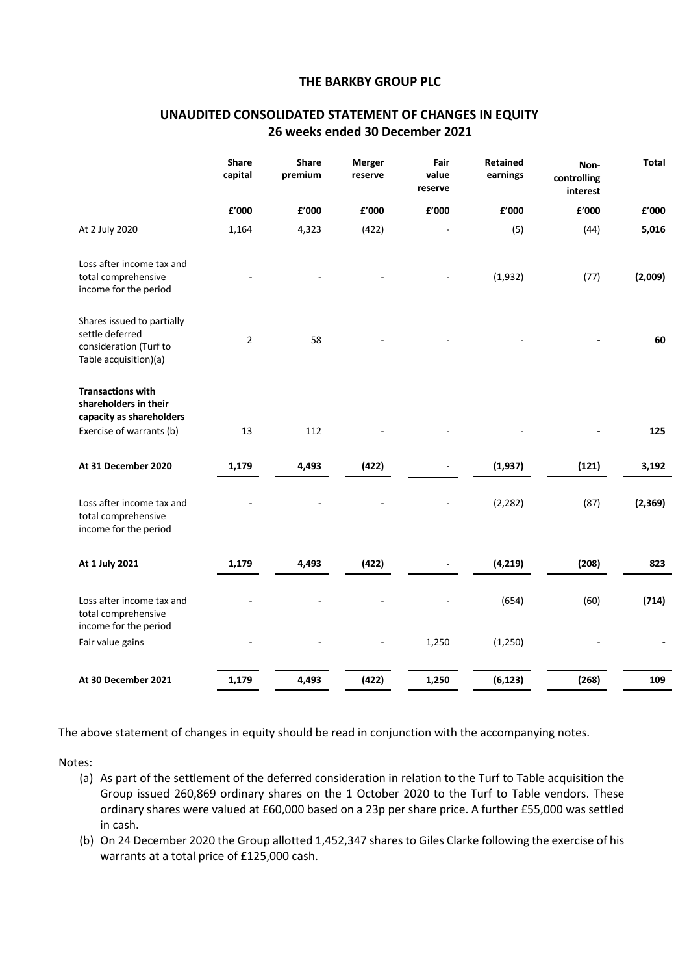|                                                                                                           | <b>Share</b><br>capital | <b>Share</b><br>premium | Merger<br>reserve | Fair<br>value<br>reserve | <b>Retained</b><br>earnings | Non-<br>controlling<br>interest | <b>Total</b> |
|-----------------------------------------------------------------------------------------------------------|-------------------------|-------------------------|-------------------|--------------------------|-----------------------------|---------------------------------|--------------|
|                                                                                                           | f'000                   | £'000                   | £'000             | ${\bf f}^{\prime}$ 000   | £'000                       | £'000                           | £'000        |
| At 2 July 2020                                                                                            | 1,164                   | 4,323                   | (422)             |                          | (5)                         | (44)                            | 5,016        |
| Loss after income tax and<br>total comprehensive<br>income for the period                                 |                         |                         |                   |                          | (1,932)                     | (77)                            | (2,009)      |
| Shares issued to partially<br>settle deferred<br>consideration (Turf to<br>Table acquisition)(a)          | $\overline{2}$          | 58                      |                   |                          |                             |                                 | 60           |
| <b>Transactions with</b><br>shareholders in their<br>capacity as shareholders<br>Exercise of warrants (b) | 13                      | 112                     |                   |                          |                             |                                 | 125          |
| At 31 December 2020                                                                                       | 1,179                   | 4,493                   | (422)             |                          | (1, 937)                    | (121)                           | 3,192        |
| Loss after income tax and<br>total comprehensive<br>income for the period                                 |                         |                         |                   |                          | (2, 282)                    | (87)                            | (2,369)      |
| At 1 July 2021                                                                                            | 1,179                   | 4,493                   | (422)             |                          | (4, 219)                    | (208)                           | 823          |
| Loss after income tax and<br>total comprehensive<br>income for the period                                 |                         |                         |                   |                          | (654)                       | (60)                            | (714)        |
| Fair value gains                                                                                          |                         |                         |                   | 1,250                    | (1,250)                     |                                 |              |
| At 30 December 2021                                                                                       | 1,179                   | 4,493                   | (422)             | 1,250                    | (6, 123)                    | (268)                           | 109          |

## **UNAUDITED CONSOLIDATED STATEMENT OF CHANGES IN EQUITY 26 weeks ended 30 December 2021**

The above statement of changes in equity should be read in conjunction with the accompanying notes.

Notes:

- (a) As part of the settlement of the deferred consideration in relation to the Turf to Table acquisition the Group issued 260,869 ordinary shares on the 1 October 2020 to the Turf to Table vendors. These ordinary shares were valued at £60,000 based on a 23p per share price. A further £55,000 was settled in cash.
- (b) On 24 December 2020 the Group allotted 1,452,347 shares to Giles Clarke following the exercise of his warrants at a total price of £125,000 cash.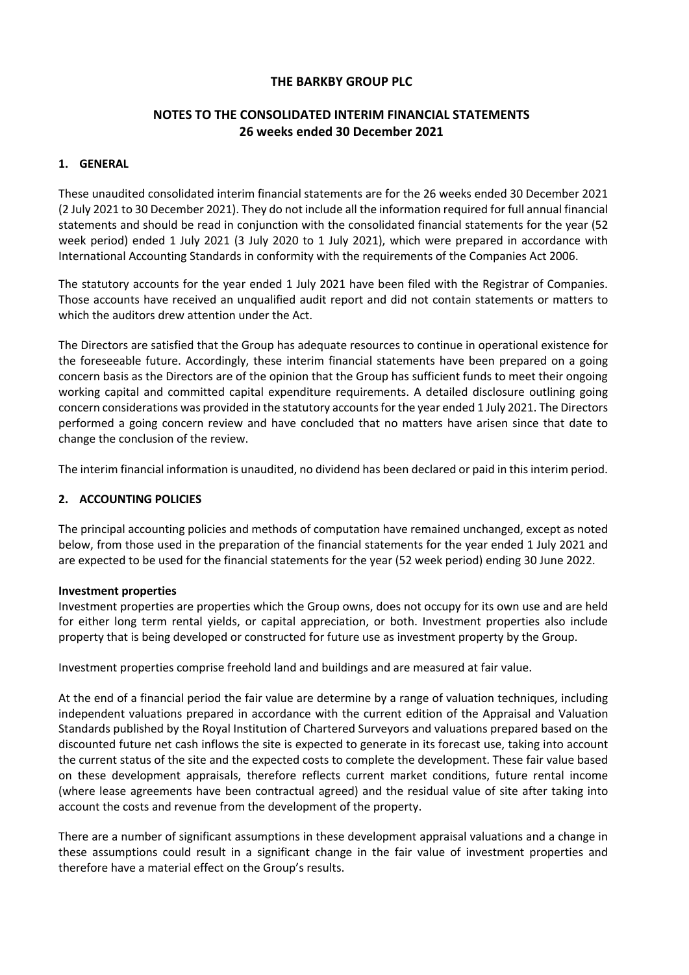# **NOTES TO THE CONSOLIDATED INTERIM FINANCIAL STATEMENTS 26 weeks ended 30 December 2021**

## **1. GENERAL**

These unaudited consolidated interim financial statements are for the 26 weeks ended 30 December 2021 (2 July 2021 to 30 December 2021). They do not include all the information required for full annual financial statements and should be read in conjunction with the consolidated financial statements for the year (52 week period) ended 1 July 2021 (3 July 2020 to 1 July 2021), which were prepared in accordance with International Accounting Standards in conformity with the requirements of the Companies Act 2006.

The statutory accounts for the year ended 1 July 2021 have been filed with the Registrar of Companies. Those accounts have received an unqualified audit report and did not contain statements or matters to which the auditors drew attention under the Act.

The Directors are satisfied that the Group has adequate resources to continue in operational existence for the foreseeable future. Accordingly, these interim financial statements have been prepared on a going concern basis as the Directors are of the opinion that the Group has sufficient funds to meet their ongoing working capital and committed capital expenditure requirements. A detailed disclosure outlining going concern considerations was provided in the statutory accounts for the year ended 1 July 2021. The Directors performed a going concern review and have concluded that no matters have arisen since that date to change the conclusion of the review.

The interim financial information is unaudited, no dividend has been declared or paid in this interim period.

### **2. ACCOUNTING POLICIES**

The principal accounting policies and methods of computation have remained unchanged, except as noted below, from those used in the preparation of the financial statements for the year ended 1 July 2021 and are expected to be used for the financial statements for the year (52 week period) ending 30 June 2022.

### **Investment properties**

Investment properties are properties which the Group owns, does not occupy for its own use and are held for either long term rental yields, or capital appreciation, or both. Investment properties also include property that is being developed or constructed for future use as investment property by the Group.

Investment properties comprise freehold land and buildings and are measured at fair value.

At the end of a financial period the fair value are determine by a range of valuation techniques, including independent valuations prepared in accordance with the current edition of the Appraisal and Valuation Standards published by the Royal Institution of Chartered Surveyors and valuations prepared based on the discounted future net cash inflows the site is expected to generate in its forecast use, taking into account the current status of the site and the expected costs to complete the development. These fair value based on these development appraisals, therefore reflects current market conditions, future rental income (where lease agreements have been contractual agreed) and the residual value of site after taking into account the costs and revenue from the development of the property.

There are a number of significant assumptions in these development appraisal valuations and a change in these assumptions could result in a significant change in the fair value of investment properties and therefore have a material effect on the Group's results.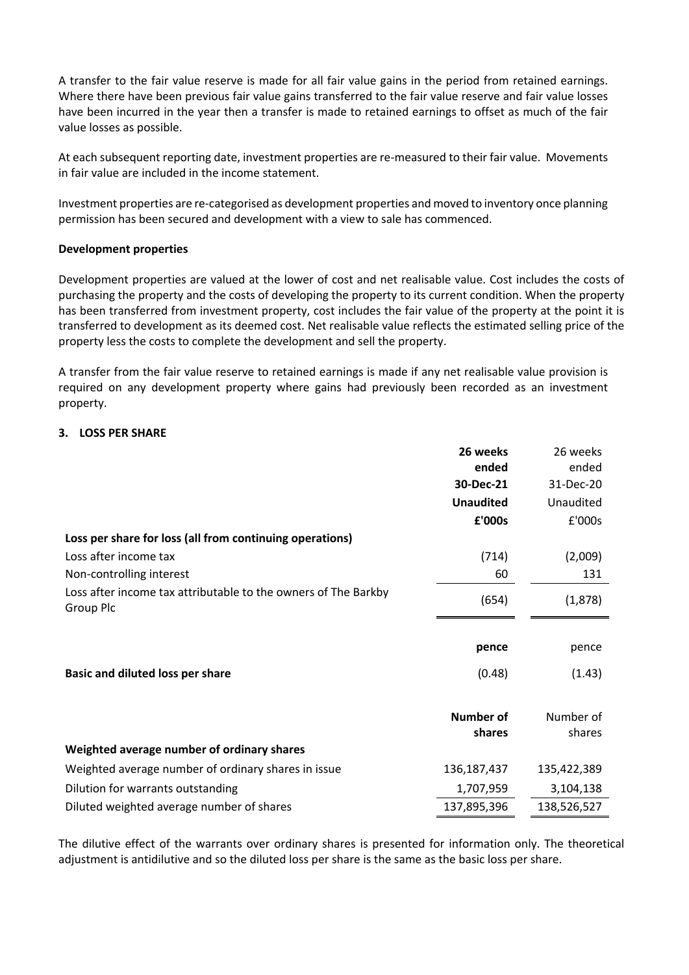A transfer to the fair value reserve is made for all fair value gains in the period from retained earnings. Where there have been previous fair value gains transferred to the fair value reserve and fair value losses have been incurred in the year then a transfer is made to retained earnings to offset as much of the fair value losses as possible.

At each subsequent reporting date, investment properties are re-measured to their fair value. Movements in fair value are included in the income statement.

Investment properties are re-categorised as development properties and moved to inventory once planning permission has been secured and development with a view to sale has commenced.

### **Development properties**

Development properties are valued at the lower of cost and net realisable value. Cost includes the costs of purchasing the property and the costs of developing the property to its current condition. When the property has been transferred from investment property, cost includes the fair value of the property at the point it is transferred to development as its deemed cost. Net realisable value reflects the estimated selling price of the property less the costs to complete the development and sell the property.

A transfer from the fair value reserve to retained earnings is made if any net realisable value provision is required on any development property where gains had previously been recorded as an investment property.

### **3. LOSS PER SHARE**

|                                                                             | 26 weeks         | 26 weeks    |
|-----------------------------------------------------------------------------|------------------|-------------|
|                                                                             | ended            | ended       |
|                                                                             | 30-Dec-21        | 31-Dec-20   |
|                                                                             | <b>Unaudited</b> | Unaudited   |
|                                                                             | £'000s           | £'000s      |
| Loss per share for loss (all from continuing operations)                    |                  |             |
| Loss after income tax                                                       | (714)            | (2,009)     |
| Non-controlling interest                                                    | 60               | 131         |
| Loss after income tax attributable to the owners of The Barkby<br>Group Plc | (654)            | (1,878)     |
|                                                                             |                  |             |
|                                                                             | pence            | pence       |
| <b>Basic and diluted loss per share</b>                                     | (0.48)           | (1.43)      |
|                                                                             |                  |             |
|                                                                             | <b>Number of</b> | Number of   |
|                                                                             | shares           | shares      |
| Weighted average number of ordinary shares                                  |                  |             |
| Weighted average number of ordinary shares in issue                         | 136, 187, 437    | 135,422,389 |
| Dilution for warrants outstanding                                           | 1,707,959        | 3,104,138   |
| Diluted weighted average number of shares                                   | 137,895,396      | 138,526,527 |

The dilutive effect of the warrants over ordinary shares is presented for information only. The theoretical adjustment is antidilutive and so the diluted loss per share is the same as the basic loss per share.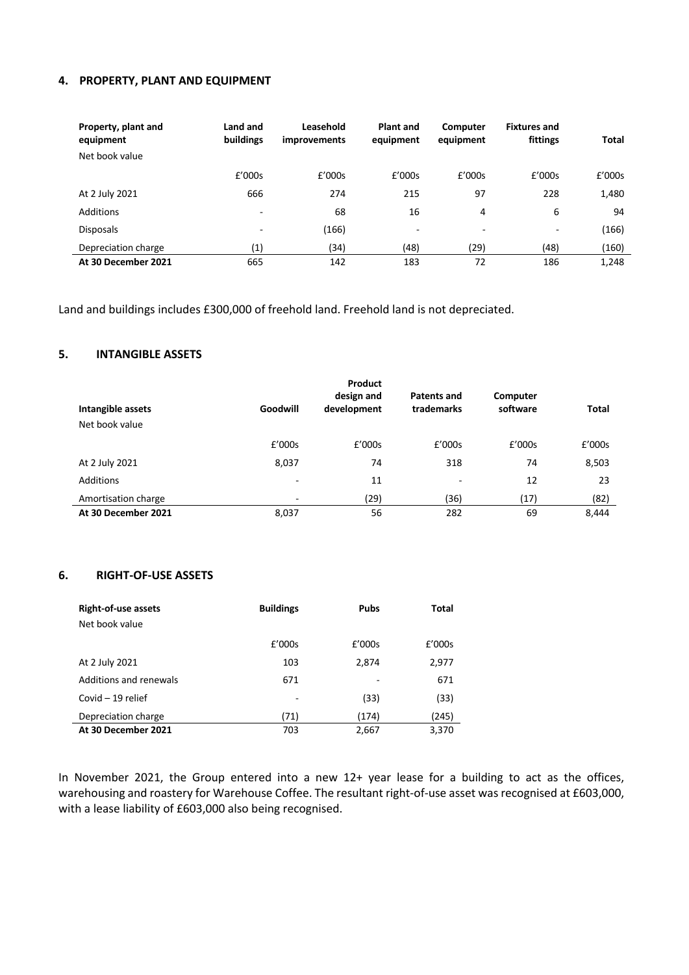### **4. PROPERTY, PLANT AND EQUIPMENT**

| Property, plant and<br>equipment<br>Net book value | Land and<br>buildings    | Leasehold<br><i>improvements</i> | <b>Plant and</b><br>equipment | Computer<br>equipment | <b>Fixtures and</b><br>fittings | <b>Total</b> |
|----------------------------------------------------|--------------------------|----------------------------------|-------------------------------|-----------------------|---------------------------------|--------------|
|                                                    | £'000s                   | £'000s                           | £'000s                        | £'000s                | £'000s                          | £'000s       |
| At 2 July 2021                                     | 666                      | 274                              | 215                           | 97                    | 228                             | 1,480        |
| Additions                                          | $\overline{\phantom{a}}$ | 68                               | 16                            | 4                     | 6                               | 94           |
| <b>Disposals</b>                                   | $\overline{\phantom{0}}$ | (166)                            | $\overline{\phantom{a}}$      | ٠                     | $\overline{\phantom{a}}$        | (166)        |
| Depreciation charge                                | (1)                      | (34)                             | (48)                          | (29)                  | (48)                            | (160)        |
| At 30 December 2021                                | 665                      | 142                              | 183                           | 72                    | 186                             | 1,248        |

Land and buildings includes £300,000 of freehold land. Freehold land is not depreciated.

## **5. INTANGIBLE ASSETS**

| Intangible assets<br>Net book value | Goodwill                 | Product<br>design and<br>development | Patents and<br>trademarks | Computer<br>software | <b>Total</b> |
|-------------------------------------|--------------------------|--------------------------------------|---------------------------|----------------------|--------------|
|                                     | £'000s                   | £'000s                               | £'000s                    | £'000s               | £'000s       |
| At 2 July 2021                      | 8,037                    | 74                                   | 318                       | 74                   | 8,503        |
| <b>Additions</b>                    | ۰                        | 11                                   | $\overline{\phantom{a}}$  | 12                   | 23           |
| Amortisation charge                 | $\overline{\phantom{0}}$ | (29)                                 | (36)                      | (17)                 | (82)         |
| At 30 December 2021                 | 8,037                    | 56                                   | 282                       | 69                   | 8,444        |

### **6. RIGHT-OF-USE ASSETS**

| <b>Right-of-use assets</b> | <b>Buildings</b> | <b>Pubs</b> | <b>Total</b> |
|----------------------------|------------------|-------------|--------------|
| Net book value             |                  |             |              |
|                            | E'000s           | £'000s      | £'000s       |
| At 2 July 2021             | 103              | 2,874       | 2,977        |
| Additions and renewals     | 671              |             | 671          |
| Covid $-19$ relief         |                  | (33)        | (33)         |
| Depreciation charge        | (71)             | (174)       | (245)        |
| At 30 December 2021        | 703              | 2,667       | 3,370        |

In November 2021, the Group entered into a new 12+ year lease for a building to act as the offices, warehousing and roastery for Warehouse Coffee. The resultant right-of-use asset was recognised at £603,000, with a lease liability of £603,000 also being recognised.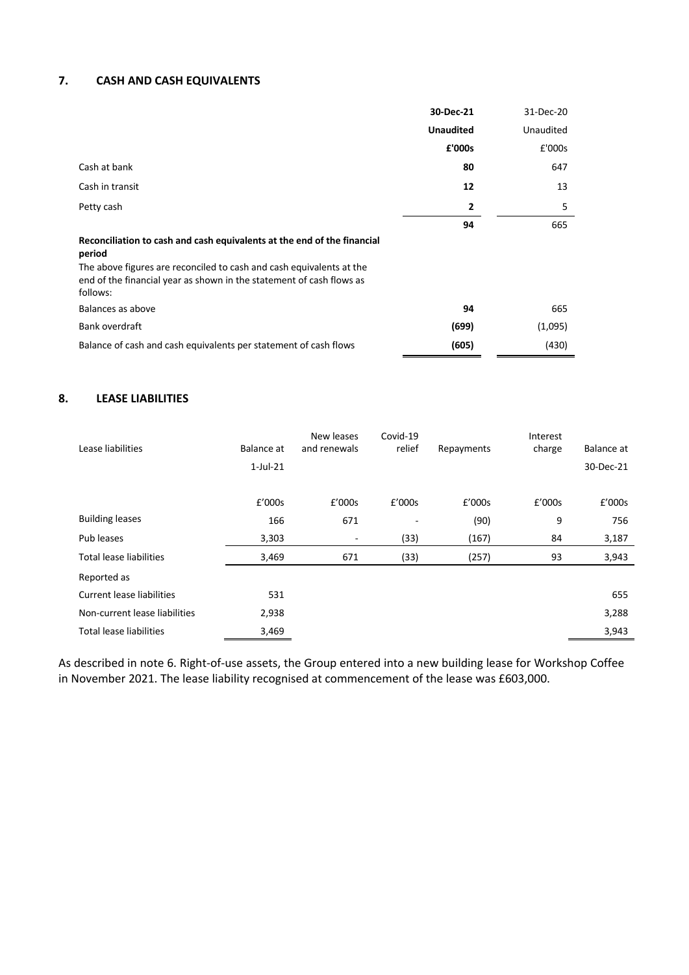## **7. CASH AND CASH EQUIVALENTS**

|                                                                                                                                                          | 30-Dec-21        | 31-Dec-20 |
|----------------------------------------------------------------------------------------------------------------------------------------------------------|------------------|-----------|
|                                                                                                                                                          | <b>Unaudited</b> | Unaudited |
|                                                                                                                                                          | £'000s           | £'000s    |
| Cash at bank                                                                                                                                             | 80               | 647       |
| Cash in transit                                                                                                                                          | 12               | 13        |
| Petty cash                                                                                                                                               | $\mathbf{2}$     | 5         |
|                                                                                                                                                          | 94               | 665       |
| Reconciliation to cash and cash equivalents at the end of the financial<br>period                                                                        |                  |           |
| The above figures are reconciled to cash and cash equivalents at the<br>end of the financial year as shown in the statement of cash flows as<br>follows: |                  |           |
| Balances as above                                                                                                                                        | 94               | 665       |
| Bank overdraft                                                                                                                                           | (699)            | (1,095)   |
| Balance of cash and cash equivalents per statement of cash flows                                                                                         | (605)            | (430)     |

# **8. LEASE LIABILITIES**

| Lease liabilities              | Balance at  | New leases<br>and renewals | Covid-19<br>relief | Repayments | Interest<br>charge | Balance at |
|--------------------------------|-------------|----------------------------|--------------------|------------|--------------------|------------|
|                                | $1$ -Jul-21 |                            |                    |            |                    | 30-Dec-21  |
|                                |             |                            |                    |            |                    |            |
|                                | £'000s      | £'000s                     | £'000s             | £'000s     | £'000s             | £'000s     |
| <b>Building leases</b>         | 166         | 671                        | ۰                  | (90)       | 9                  | 756        |
| Pub leases                     | 3,303       | ٠                          | (33)               | (167)      | 84                 | 3,187      |
| <b>Total lease liabilities</b> | 3,469       | 671                        | (33)               | (257)      | 93                 | 3,943      |
| Reported as                    |             |                            |                    |            |                    |            |
| Current lease liabilities      | 531         |                            |                    |            |                    | 655        |
| Non-current lease liabilities  | 2,938       |                            |                    |            |                    | 3,288      |
| <b>Total lease liabilities</b> | 3,469       |                            |                    |            |                    | 3,943      |

As described in note 6. Right-of-use assets, the Group entered into a new building lease for Workshop Coffee in November 2021. The lease liability recognised at commencement of the lease was £603,000.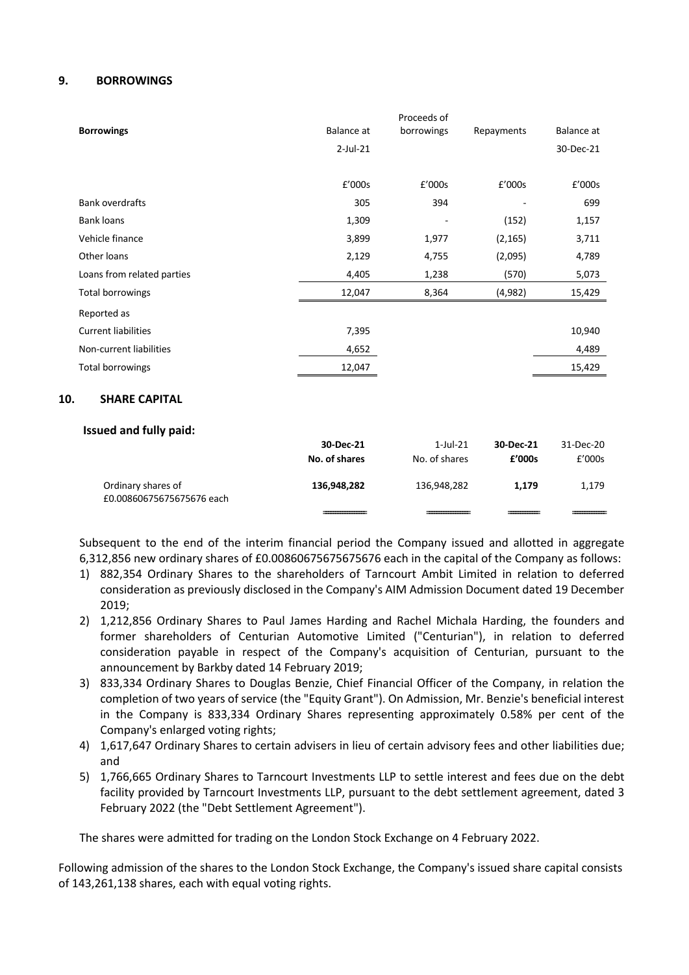### **9. BORROWINGS**

|                             |             | Proceeds of              |            |            |
|-----------------------------|-------------|--------------------------|------------|------------|
| <b>Borrowings</b>           | Balance at  | borrowings               | Repayments | Balance at |
|                             | $2$ -Jul-21 |                          |            | 30-Dec-21  |
|                             |             |                          |            |            |
|                             | £'000s      | £'000s                   | £'000s     | £'000s     |
| <b>Bank overdrafts</b>      | 305         | 394                      |            | 699        |
| <b>Bank loans</b>           | 1,309       | $\overline{\phantom{a}}$ | (152)      | 1,157      |
| Vehicle finance             | 3,899       | 1,977                    | (2, 165)   | 3,711      |
| Other loans                 | 2,129       | 4,755                    | (2,095)    | 4,789      |
| Loans from related parties  | 4,405       | 1,238                    | (570)      | 5,073      |
| Total borrowings            | 12,047      | 8,364                    | (4,982)    | 15,429     |
| Reported as                 |             |                          |            |            |
| <b>Current liabilities</b>  | 7,395       |                          |            | 10,940     |
| Non-current liabilities     | 4,652       |                          |            | 4,489      |
| Total borrowings            | 12,047      |                          |            | 15,429     |
| <b>SHARE CAPITAL</b><br>10. |             |                          |            |            |

### **Issued and fully paid:**

|                                                 | 30-Dec-21<br>No. of shares | $1$ -Jul-21<br>No. of shares | 30-Dec-21<br>£'000s | 31-Dec-20<br>E'000s |
|-------------------------------------------------|----------------------------|------------------------------|---------------------|---------------------|
| Ordinary shares of<br>£0.00860675675675676 each | 136,948,282                | 136,948,282                  | 1.179               | 1,179               |
|                                                 |                            |                              |                     |                     |

Subsequent to the end of the interim financial period the Company issued and allotted in aggregate 6,312,856 new ordinary shares of £0.00860675675675676 each in the capital of the Company as follows:

- 1) 882,354 Ordinary Shares to the shareholders of Tarncourt Ambit Limited in relation to deferred consideration as previously disclosed in the Company's AIM Admission Document dated 19 December 2019;
- 2) 1,212,856 Ordinary Shares to Paul James Harding and Rachel Michala Harding, the founders and former shareholders of Centurian Automotive Limited ("Centurian"), in relation to deferred consideration payable in respect of the Company's acquisition of Centurian, pursuant to the announcement by Barkby dated 14 February 2019;
- 3) 833,334 Ordinary Shares to Douglas Benzie, Chief Financial Officer of the Company, in relation the completion of two years of service (the "Equity Grant"). On Admission, Mr. Benzie's beneficial interest in the Company is 833,334 Ordinary Shares representing approximately 0.58% per cent of the Company's enlarged voting rights;
- 4) 1,617,647 Ordinary Shares to certain advisers in lieu of certain advisory fees and other liabilities due; and
- 5) 1,766,665 Ordinary Shares to Tarncourt Investments LLP to settle interest and fees due on the debt facility provided by Tarncourt Investments LLP, pursuant to the debt settlement agreement, dated 3 February 2022 (the "Debt Settlement Agreement").

The shares were admitted for trading on the London Stock Exchange on 4 February 2022.

Following admission of the shares to the London Stock Exchange, the Company's issued share capital consists of 143,261,138 shares, each with equal voting rights.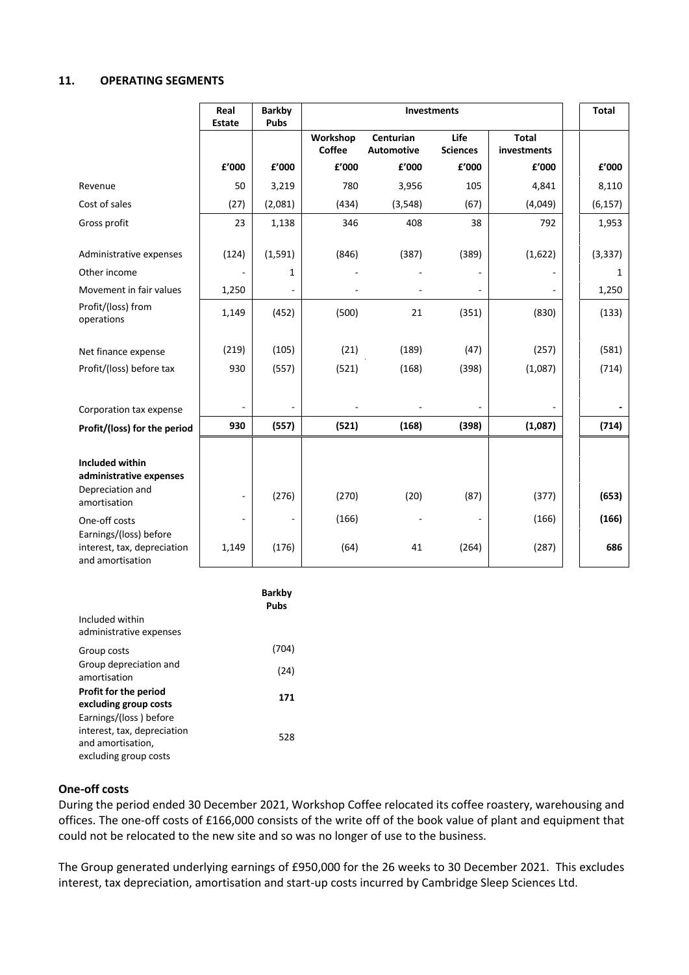#### **11. OPERATING SEGMENTS**

|                                                                           | Real<br><b>Estate</b> | <b>Barkby</b><br><b>Pubs</b> | <b>Investments</b> |                         |                         | <b>Total</b>                |               |
|---------------------------------------------------------------------------|-----------------------|------------------------------|--------------------|-------------------------|-------------------------|-----------------------------|---------------|
|                                                                           |                       |                              | Workshop<br>Coffee | Centurian<br>Automotive | Life<br><b>Sciences</b> | <b>Total</b><br>investments |               |
|                                                                           | £'000                 | £'000                        | £'000              | £'000                   | £'000                   | £'000                       | £'000         |
| Revenue                                                                   | 50                    | 3,219                        | 780                | 3,956                   | 105                     | 4,841                       | 8,110         |
| Cost of sales                                                             | (27)                  | (2,081)                      | (434)              | (3, 548)                | (67)                    | (4,049)                     | (6, 157)      |
| Gross profit                                                              | 23                    | 1,138                        | 346                | 408                     | 38                      | 792                         | 1,953         |
| Administrative expenses<br>Other income                                   | (124)                 | (1, 591)<br>1                | (846)              | (387)                   | (389)                   | (1,622)                     | (3, 337)<br>1 |
|                                                                           |                       |                              |                    |                         |                         |                             |               |
| Movement in fair values<br>Profit/(loss) from                             | 1,250                 |                              |                    |                         |                         |                             | 1,250         |
| operations                                                                | 1,149                 | (452)                        | (500)              | 21                      | (351)                   | (830)                       | (133)         |
|                                                                           |                       |                              |                    |                         |                         |                             |               |
| Net finance expense                                                       | (219)                 | (105)                        | (21)               | (189)                   | (47)                    | (257)                       | (581)         |
| Profit/(loss) before tax                                                  | 930                   | (557)                        | (521)              | (168)                   | (398)                   | (1,087)                     | (714)         |
|                                                                           |                       |                              |                    |                         |                         |                             |               |
| Corporation tax expense                                                   |                       | $\blacksquare$               |                    |                         |                         |                             |               |
| Profit/(loss) for the period                                              | 930                   | (557)                        | (521)              | (168)                   | (398)                   | (1,087)                     | (714)         |
|                                                                           |                       |                              |                    |                         |                         |                             |               |
| Included within<br>administrative expenses                                |                       |                              |                    |                         |                         |                             |               |
| Depreciation and<br>amortisation                                          |                       | (276)                        | (270)              | (20)                    | (87)                    | (377)                       | (653)         |
| One-off costs                                                             |                       | ä,                           | (166)              |                         |                         | (166)                       | (166)         |
| Earnings/(loss) before<br>interest, tax, depreciation<br>and amortisation | 1,149                 | (176)                        | (64)               | 41                      | (264)                   | (287)                       | 686           |

|                              | Barkby<br>Pubs |
|------------------------------|----------------|
| Included within              |                |
| administrative expenses      |                |
| Group costs                  | (704)          |
| Group depreciation and       | (24)           |
| amortisation                 |                |
| <b>Profit for the period</b> | 171            |
| excluding group costs        |                |
| Earnings/(loss) before       |                |
| interest, tax, depreciation  | 528            |
| and amortisation,            |                |
| excluding group costs        |                |

### **One-off costs**

During the period ended 30 December 2021, Workshop Coffee relocated its coffee roastery, warehousing and offices. The one-off costs of £166,000 consists of the write off of the book value of plant and equipment that could not be relocated to the new site and so was no longer of use to the business.

The Group generated underlying earnings of £950,000 for the 26 weeks to 30 December 2021. This excludes interest, tax depreciation, amortisation and start-up costs incurred by Cambridge Sleep Sciences Ltd.